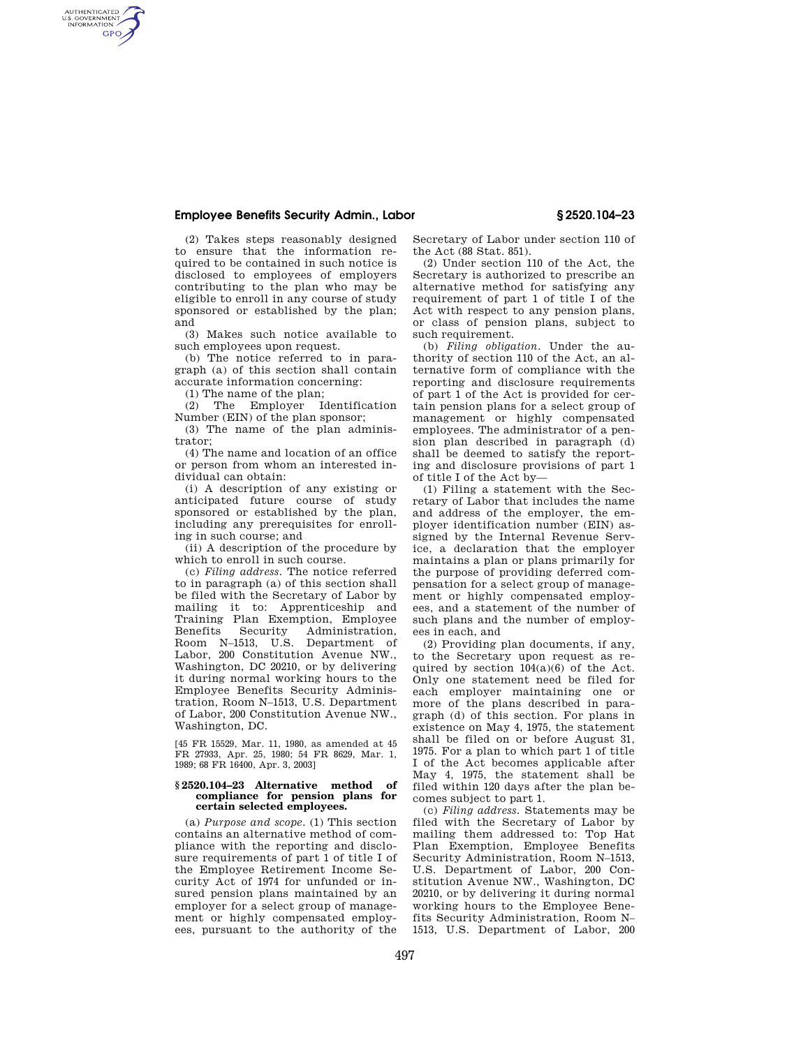# **Employee Benefits Security Admin., Labor § 2520.104–23**

(2) Takes steps reasonably designed to ensure that the information required to be contained in such notice is disclosed to employees of employers contributing to the plan who may be eligible to enroll in any course of study sponsored or established by the plan; and

(3) Makes such notice available to such employees upon request.

(b) The notice referred to in paragraph (a) of this section shall contain accurate information concerning:

(1) The name of the plan;

AUTHENTICATED<br>U.S. GOVERNMENT<br>INFORMATION **GPO** 

> (2) The Employer Identification Number (EIN) of the plan sponsor;

> (3) The name of the plan administrator;

> (4) The name and location of an office or person from whom an interested individual can obtain:

> (i) A description of any existing or anticipated future course of study sponsored or established by the plan, including any prerequisites for enrolling in such course; and

(ii) A description of the procedure by which to enroll in such course.

(c) *Filing address.* The notice referred to in paragraph (a) of this section shall be filed with the Secretary of Labor by mailing it to: Apprenticeship and Training Plan Exemption, Employee<br>Benefits Security Administration, Administration, Room N–1513, U.S. Department of Labor, 200 Constitution Avenue NW., Washington, DC 20210, or by delivering it during normal working hours to the Employee Benefits Security Administration, Room N–1513, U.S. Department of Labor, 200 Constitution Avenue NW., Washington, DC.

[45 FR 15529, Mar. 11, 1980, as amended at 45 FR 27933, Apr. 25, 1980; 54 FR 8629, Mar. 1, 1989; 68 FR 16400, Apr. 3, 2003]

## **§ 2520.104–23 Alternative method of compliance for pension plans for certain selected employees.**

(a) *Purpose and scope.* (1) This section contains an alternative method of compliance with the reporting and disclosure requirements of part 1 of title I of the Employee Retirement Income Security Act of 1974 for unfunded or insured pension plans maintained by an employer for a select group of management or highly compensated employees, pursuant to the authority of the

Secretary of Labor under section 110 of the Act (88 Stat. 851).

(2) Under section 110 of the Act, the Secretary is authorized to prescribe an alternative method for satisfying any requirement of part 1 of title I of the Act with respect to any pension plans, or class of pension plans, subject to such requirement.

(b) *Filing obligation.* Under the authority of section 110 of the Act, an alternative form of compliance with the reporting and disclosure requirements of part 1 of the Act is provided for certain pension plans for a select group of management or highly compensated employees. The administrator of a pension plan described in paragraph (d) shall be deemed to satisfy the reporting and disclosure provisions of part 1 of title I of the Act by—

(1) Filing a statement with the Secretary of Labor that includes the name and address of the employer, the employer identification number (EIN) assigned by the Internal Revenue Service, a declaration that the employer maintains a plan or plans primarily for the purpose of providing deferred compensation for a select group of management or highly compensated employees, and a statement of the number of such plans and the number of employees in each, and

(2) Providing plan documents, if any, to the Secretary upon request as required by section  $104(a)(6)$  of the Act. Only one statement need be filed for each employer maintaining one or more of the plans described in paragraph (d) of this section. For plans in existence on May 4, 1975, the statement shall be filed on or before August 31, 1975. For a plan to which part 1 of title I of the Act becomes applicable after May 4, 1975, the statement shall be filed within 120 days after the plan becomes subject to part 1.

(c) *Filing address.* Statements may be filed with the Secretary of Labor by mailing them addressed to: Top Hat Plan Exemption, Employee Benefits Security Administration, Room N–1513, U.S. Department of Labor, 200 Constitution Avenue NW., Washington, DC 20210, or by delivering it during normal working hours to the Employee Benefits Security Administration, Room N– 1513, U.S. Department of Labor, 200